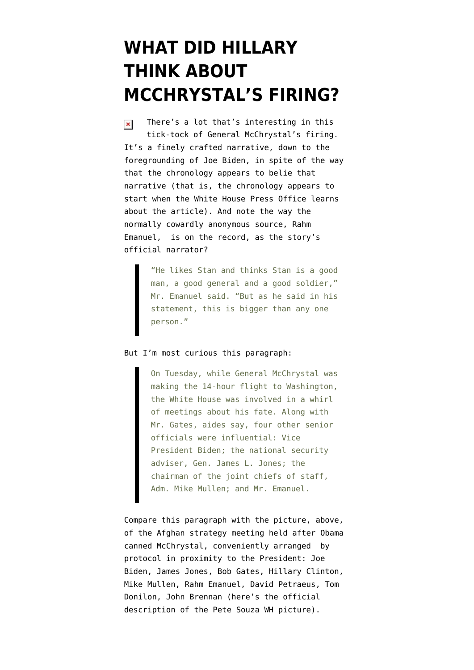## **[WHAT DID HILLARY](https://www.emptywheel.net/2010/06/23/what-did-hillary-think-abou-mcchrystals-firing/) [THINK ABOUT](https://www.emptywheel.net/2010/06/23/what-did-hillary-think-abou-mcchrystals-firing/) [MCCHRYSTAL'S FIRING?](https://www.emptywheel.net/2010/06/23/what-did-hillary-think-abou-mcchrystals-firing/)**

There's a lot that's interesting in [this](http://www.nytimes.com/2010/06/24/us/politics/24decide.html?partner=rss&emc=rss)  $\pmb{\times}$ [tick-tock of General McChrystal's firing](http://www.nytimes.com/2010/06/24/us/politics/24decide.html?partner=rss&emc=rss). It's a finely crafted narrative, down to the foregrounding of Joe Biden, in spite of the way that the chronology appears to belie that narrative (that is, the chronology appears to start when the White House Press Office learns about the article). And note the way the [normally cowardly anonymous source](http://emptywheel.firedoglake.com/2010/03/18/the-anonymous-coward-calling-holder-weak/), Rahm Emanuel, is on the record, as the story's official narrator?

> "He likes Stan and thinks Stan is a good man, a good general and a good soldier," Mr. Emanuel said. "But as he said in his statement, this is bigger than any one person."

## But I'm most curious this paragraph:

On Tuesday, while General McChrystal was making the 14-hour flight to Washington, the White House was involved in a whirl of meetings about his fate. Along with Mr. Gates, aides say, four other senior officials were influential: Vice President Biden; the national security adviser, Gen. James L. Jones; the chairman of the joint chiefs of staff, Adm. Mike Mullen; and Mr. Emanuel.

Compare this paragraph with the picture, above, of the Afghan strategy meeting held after Obama canned McChrystal, conveniently arranged by protocol in proximity to the President: Joe Biden, James Jones, Bob Gates, Hillary Clinton, Mike Mullen, Rahm Emanuel, David Petraeus, Tom Donilon, John Brennan (here's the [official](http://www.flickr.com/photos/whitehouse/4727924597/) [description](http://www.flickr.com/photos/whitehouse/4727924597/) of the Pete Souza WH picture).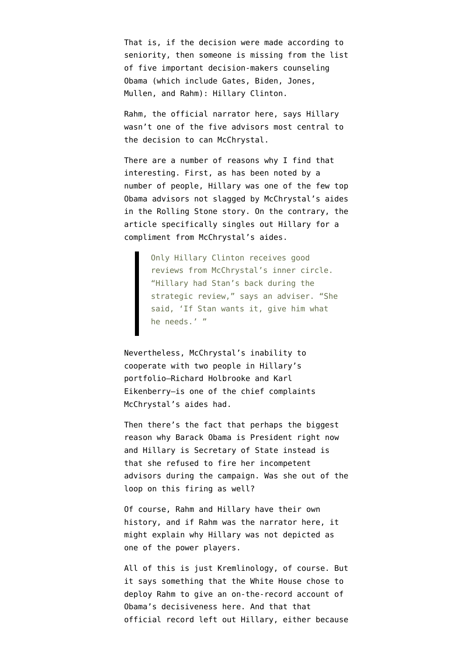That is, if the decision were made according to seniority, then someone is missing from the list of five important decision-makers counseling Obama (which include Gates, Biden, Jones, Mullen, and Rahm): Hillary Clinton.

Rahm, the official narrator here, says Hillary wasn't one of the five advisors most central to the decision to can McChrystal.

There are a number of reasons why I find that interesting. First, as has been noted by a number of people, Hillary was one of the few top Obama advisors not slagged by McChrystal's aides in the [Rolling Stone story.](http://www.rollingstone.com/politics/news/17390/119236) On the contrary, the article specifically singles out Hillary for a compliment from McChrystal's aides.

> Only Hillary Clinton receives good reviews from McChrystal's inner circle. "Hillary had Stan's back during the strategic review," says an adviser. "She said, 'If Stan wants it, give him what he needs.' "

Nevertheless, McChrystal's inability to cooperate with two people in Hillary's portfolio–Richard Holbrooke and Karl Eikenberry–is one of the chief complaints McChrystal's aides had.

Then there's the fact that perhaps the biggest reason why Barack Obama is President right now and Hillary is Secretary of State instead is that she refused to fire her incompetent advisors during the campaign. Was she out of the loop on this firing as well?

Of course, Rahm and Hillary have their own history, and if Rahm was the narrator here, it might explain why Hillary was not depicted as one of the power players.

All of this is just Kremlinology, of course. But it says something that the White House chose to deploy Rahm to give an on-the-record account of Obama's decisiveness here. And that that official record left out Hillary, either because